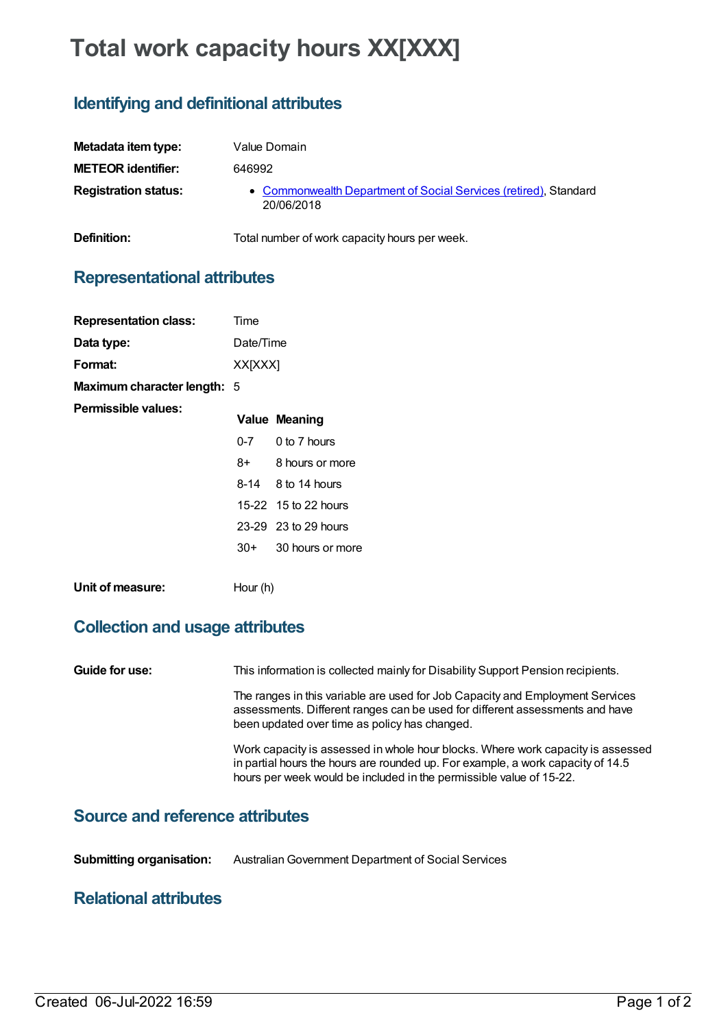# **Total work capacity hours XX[XXX]**

**Definition:** Total number of work capacity hours per week.

# **Identifying and definitional attributes**

| Metadata item type:         | Value Domain                                                                   |
|-----------------------------|--------------------------------------------------------------------------------|
| <b>METEOR identifier:</b>   | 646992                                                                         |
| <b>Registration status:</b> | • Commonwealth Department of Social Services (retired), Standard<br>20/06/2018 |

**Representational attributes**

| <b>Representation class:</b> | Time      |                      |
|------------------------------|-----------|----------------------|
| Data type:                   | Date/Time |                      |
| Format:                      | XX[XXX]   |                      |
| Maximum character length: 5  |           |                      |
| Permissible values:          |           | <b>Value Meaning</b> |
|                              |           | $0-7$ 0 to 7 hours   |
|                              | 8+        | 8 hours or more      |
|                              |           | 8-14 8 to 14 hours   |
|                              |           | 15-22 15 to 22 hours |
|                              |           | 23-29 23 to 29 hours |
|                              | $30+$     | 30 hours or more     |
| Unit of measure:             | Hour (h)  |                      |

# **Collection and usage attributes**

**Guide for use:** This information is collected mainly for Disability Support Pension recipients.

The ranges in this variable are used for Job Capacity and Employment Services assessments. Different ranges can be used for different assessments and have been updated over time as policy has changed.

Work capacity is assessed in whole hour blocks. Where work capacity is assessed in partial hours the hours are rounded up. For example, a work capacity of 14.5 hours per week would be included in the permissible value of 15-22.

### **Source and reference attributes**

**Submitting organisation:** AustralianGovernment Department of Social Services

### **Relational attributes**